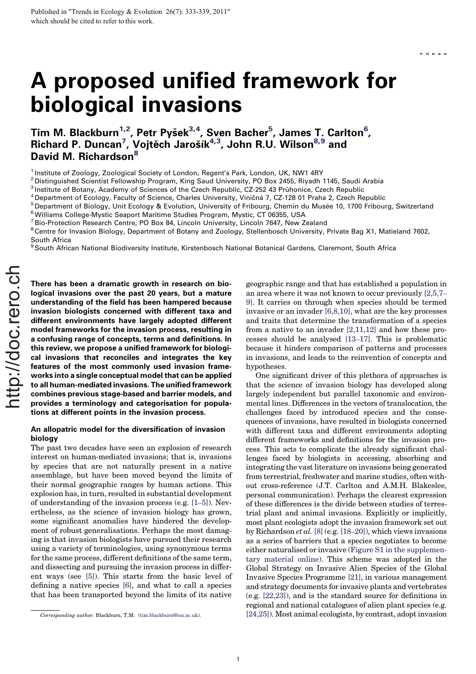# A proposed unified framework for biological invasions

Tim M. Blackburn<sup>1,2</sup>, Petr Pyšek<sup>3,4</sup>, Sven Bacher<sup>5</sup>, James T. Carlton<sup>6</sup>, Richard P. Duncan<sup>7</sup>, Vojtěch Jarošík<sup>4,3</sup>, John R.U. Wilson<sup>8,9</sup> and David M. Richardson<sup>8</sup>

<sup>1</sup> Institute of Zoology, Zoological Society of London, Regent's Park, London, UK, NW1 4RY

<sup>2</sup> Distinguished Scientist Fellowship Program, King Saud University, PO Box 2455, Riyadh 1145, Saudi Arabia<br><sup>3</sup> Institute of Botany, Academy of Sciences of the Czech Republic, CZ-252 43 Průhonice, Czech Republic

- 
- <sup>4</sup> Department of Ecology, Faculty of Science, Charles University, Viničná 7, CZ-128 01 Praha 2, Czech Republic<br><sup>5</sup> Department of Biology, Unit Ecology & Evolution, University of Fribourg, Chemin du Musée 10, 1700 Fribour

 $7$  Bio-Protection Research Centre, PO Box 84, Lincoln University, Lincoln 7647, New Zealand

<sup>8</sup> Centre for Invasion Biology, Department of Botany and Zoology, Stellenbosch University, Private Bag X1, Matieland 7602, South Africa

<sup>9</sup> South African National Biodiversity Institute, Kirstenbosch National Botanical Gardens, Claremont, South Africa

There has been a dramatic growth in research on biological invasions over the past 20 years, but a mature understanding of the field has been hampered because invasion biologists concerned with different taxa and different environments have largely adopted different model frameworks for the invasion process, resulting in a confusing range of concepts, terms and definitions. In this review, we propose a unified framework for biological invasions that reconciles and integrates the key features of the most commonly used invasion frameworks into a single conceptual model that can be applied to all human-mediated invasions. The unified framework combines previous stage-based and barrier models, and provides a terminology and categorisation for populations at different points in the invasion process.

# An allopatric model for the diversification of invasion biology

The past two decades have seen an explosion of research interest on human-mediated invasions; that is, invasions by species that are not naturally present in a native assemblage, but have been moved beyond the limits of their normal geographic ranges by human actions. This explosion has, in turn, resulted in substantial development of understanding of the invasion process (e.g. [1–5]). Nevertheless, as the science of invasion biology has grown, some significant anomalies have hindered the development of robust generalisations. Perhaps the most damaging is that invasion biologists have pursued their research using a variety of terminologies, using synonymous terms for the same process, different definitions of the same term, and dissecting and pursuing the invasion process in different ways (see [5]). This starts from the basic level of defining a native species [6], and what to call a species that has been transported beyond the limits of its native

geographic range and that has established a population in an area where it was not known to occur previously [2,5,7– 9]. It carries on through when species should be termed invasive or an invader [6,8,10], what are the key processes and traits that determine the transformation of a species from a native to an invader [2,11,12] and how these processes should be analysed [13–17]. This is problematic because it hinders comparison of patterns and processes in invasions, and leads to the reinvention of concepts and hypotheses.

One significant driver of this plethora of approaches is that the science of invasion biology has developed along largely independent but parallel taxonomic and environmental lines. Differences in the vectors of translocation, the challenges faced by introduced species and the consequences of invasions, have resulted in biologists concerned with different taxa and different environments adopting different frameworks and definitions for the invasion process. This acts to complicate the already significant challenges faced by biologists in accessing, absorbing and integrating the vast literature on invasions being generated from terrestrial, freshwater and marine studies, often without cross-reference (J.T. Carlton and A.M.H. Blakeslee, personal communication). Perhaps the clearest expression of these differences is the divide between studies of terrestrial plant and animal invasions. Explicitly or implicitly, most plant ecologists adopt the invasion framework set out by Richardson *et al.* [8] (e.g.  $[18–20]$ ), which views invasions as a series of barriers that a species negotiates to become either naturalised or invasive (Figure S1 in the supplementary material online). This scheme was adopted in the Global Strategy on Invasive Alien Species of the Global Invasive Species Programme [21], in various management and strategy documents for invasive plants and vertebrates (e.g. [22,23]), and is the standard source for definitions in regional and national catalogues of alien plant species (e.g. Corresponding author: Blackburn, T.M. (tim.blackburn@ioz.ac.uk). [24,25]). Most animal ecologists, by contrast, adopt invasion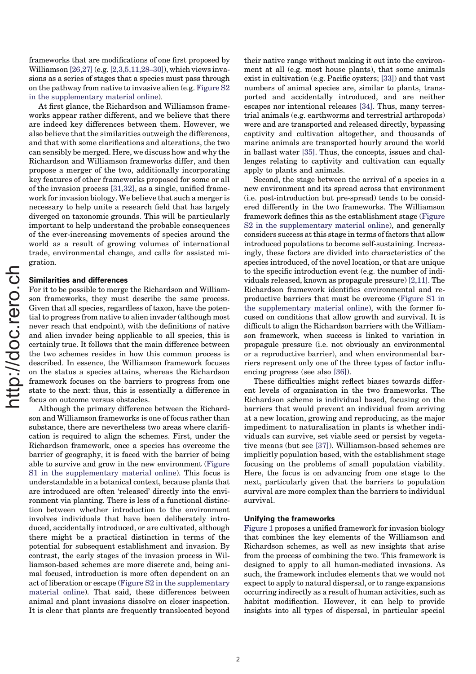frameworks that are modifications of one first proposed by Williamson [26,27] (e.g. [2,3,5,11,28–30]), which views invasions as a series of stages that a species must pass through on the pathway from native to invasive alien (e.g. Figure S2 in the supplementary material online).

At first glance, the Richardson and Williamson frameworks appear rather different, and we believe that there are indeed key differences between them. However, we also believe that the similarities outweigh the differences, and that with some clarifications and alterations, the two can sensibly be merged. Here, we discuss how and why the Richardson and Williamson frameworks differ, and then propose a merger of the two, additionally incorporating key features of other frameworks proposed for some or all of the invasion process [31,32], as a single, unified framework for invasion biology. We believe that such a merger is necessary to help unite a research field that has largely diverged on taxonomic grounds. This will be particularly important to help understand the probable consequences of the ever-increasing movements of species around the world as a result of growing volumes of international trade, environmental change, and calls for assisted migration.

#### Similarities and differences

For it to be possible to merge the Richardson and Williamson frameworks, they must describe the same process. Given that all species, regardless of taxon, have the potential to progress from native to alien invader (although most never reach that endpoint), with the definitions of native and alien invader being applicable to all species, this is certainly true. It follows that the main difference between the two schemes resides in how this common process is described. In essence, the Williamson framework focuses on the status a species attains, whereas the Richardson framework focuses on the barriers to progress from one state to the next: thus, this is essentially a difference in focus on outcome versus obstacles.

Although the primary difference between the Richardson and Williamson frameworks is one of focus rather than substance, there are nevertheless two areas where clarification is required to align the schemes. First, under the Richardson framework, once a species has overcome the barrier of geography, it is faced with the barrier of being able to survive and grow in the new environment (Figure S1 in the supplementary material online). This focus is understandable in a botanical context, because plants that are introduced are often 'released' directly into the environment via planting. There is less of a functional distinction between whether introduction to the environment involves individuals that have been deliberately introduced, accidentally introduced, or are cultivated, although there might be a practical distinction in terms of the potential for subsequent establishment and invasion. By contrast, the early stages of the invasion process in Williamson-based schemes are more discrete and, being animal focused, introduction is more often dependent on an act of liberation or escape (Figure S2 in the supplementary material online). That said, these differences between animal and plant invasions dissolve on closer inspection. It is clear that plants are frequently translocated beyond

their native range without making it out into the environment at all (e.g. most house plants), that some animals exist in cultivation (e.g. Pacific oysters; [33]) and that vast numbers of animal species are, similar to plants, transported and accidentally introduced, and are neither escapes nor intentional releases [34]. Thus, many terrestrial animals (e.g. earthworms and terrestrial arthropods) were and are transported and released directly, bypassing captivity and cultivation altogether, and thousands of marine animals are transported hourly around the world in ballast water [35]. Thus, the concepts, issues and challenges relating to captivity and cultivation can equally apply to plants and animals.

Second, the stage between the arrival of a species in a new environment and its spread across that environment (i.e. post-introduction but pre-spread) tends to be considered differently in the two frameworks. The Williamson framework defines this as the establishment stage (Figure S2 in the supplementary material online), and generally considers success at this stage in terms of factors that allow introduced populations to become self-sustaining. Increasingly, these factors are divided into characteristics of the species introduced, of the novel location, or that are unique to the specific introduction event (e.g. the number of individuals released, known as propagule pressure) [2,11]. The Richardson framework identifies environmental and reproductive barriers that must be overcome (Figure S1 in the supplementary material online), with the former focused on conditions that allow growth and survival. It is difficult to align the Richardson barriers with the Williamson framework, when success is linked to variation in propagule pressure (i.e. not obviously an environmental or a reproductive barrier), and when environmental barriers represent only one of the three types of factor influencing progress (see also [36]).

These difficulties might reflect biases towards different levels of organisation in the two frameworks. The Richardson scheme is individual based, focusing on the barriers that would prevent an individual from arriving at a new location, growing and reproducing, as the major impediment to naturalisation in plants is whether individuals can survive, set viable seed or persist by vegetative means (but see [37]). Williamson-based schemes are implicitly population based, with the establishment stage focusing on the problems of small population viability. Here, the focus is on advancing from one stage to the next, particularly given that the barriers to population survival are more complex than the barriers to individual survival.

### Unifying the frameworks

Figure 1 proposes a unified framework for invasion biology that combines the key elements of the Williamson and Richardson schemes, as well as new insights that arise from the process of combining the two. This framework is designed to apply to all human-mediated invasions. As such, the framework includes elements that we would not expect to apply to natural dispersal, or to range expansions occurring indirectly as a result of human activities, such as habitat modification. However, it can help to provide insights into all types of dispersal, in particular special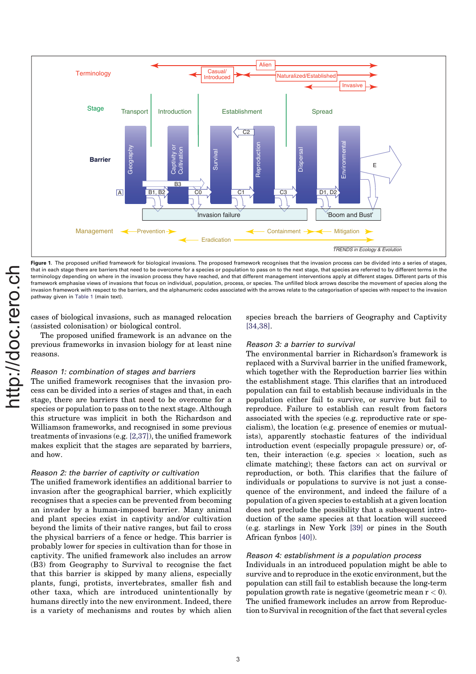

Figure 1. The proposed unified framework for biological invasions. The proposed framework recognises that the invasion process can be divided into a series of stages, that in each stage there are barriers that need to be overcome for a species or population to pass on to the next stage, that species are referred to by different terms in the terminology depending on where in the invasion process they have reached, and that different management interventions apply at different stages. Different parts of this framework emphasise views of invasions that focus on individual, population, process, or species. The unfilled block arrows describe the movement of species along the invasion framework with respect to the barriers, and the alphanumeric codes associated with the arrows relate to the categorisation of species with respect to the invasion pathway given in Table 1 (main text).

cases of biological invasions, such as managed relocation (assisted colonisation) or biological control.

The proposed unified framework is an advance on the previous frameworks in invasion biology for at least nine reasons.

## Reason 1: combination of stages and barriers

The unified framework recognises that the invasion process can be divided into a series of stages and that, in each stage, there are barriers that need to be overcome for a species or population to pass on to the next stage. Although this structure was implicit in both the Richardson and Williamson frameworks, and recognised in some previous treatments of invasions (e.g. [2,37]), the unified framework makes explicit that the stages are separated by barriers, and how.

#### Reason 2: the barrier of captivity or cultivation

The unified framework identifies an additional barrier to invasion after the geographical barrier, which explicitly recognises that a species can be prevented from becoming an invader by a human-imposed barrier. Many animal and plant species exist in captivity and/or cultivation beyond the limits of their native ranges, but fail to cross the physical barriers of a fence or hedge. This barrier is probably lower for species in cultivation than for those in captivity. The unified framework also includes an arrow (B3) from Geography to Survival to recognise the fact that this barrier is skipped by many aliens, especially plants, fungi, protists, invertebrates, smaller fish and other taxa, which are introduced unintentionally by humans directly into the new environment. Indeed, there is a variety of mechanisms and routes by which alien species breach the barriers of Geography and Captivity [34,38].

### Reason 3: a barrier to survival

The environmental barrier in Richardson's framework is replaced with a Survival barrier in the unified framework, which together with the Reproduction barrier lies within the establishment stage. This clarifies that an introduced population can fail to establish because individuals in the population either fail to survive, or survive but fail to reproduce. Failure to establish can result from factors associated with the species (e.g. reproductive rate or specialism), the location (e.g. presence of enemies or mutualists), apparently stochastic features of the individual introduction event (especially propagule pressure) or, often, their interaction (e.g. species  $\times$  location, such as climate matching); these factors can act on survival or reproduction, or both. This clarifies that the failure of individuals or populations to survive is not just a consequence of the environment, and indeed the failure of a population of a given species to establish at a given location does not preclude the possibility that a subsequent introduction of the same species at that location will succeed (e.g. starlings in New York [39] or pines in the South African fynbos [40]).

## Reason 4: establishment is a population process

Individuals in an introduced population might be able to survive and to reproduce in the exotic environment, but the population can still fail to establish because the long-term population growth rate is negative (geometric mean  $r < 0$ ). The unified framework includes an arrow from Reproduction to Survival in recognition of the fact that several cycles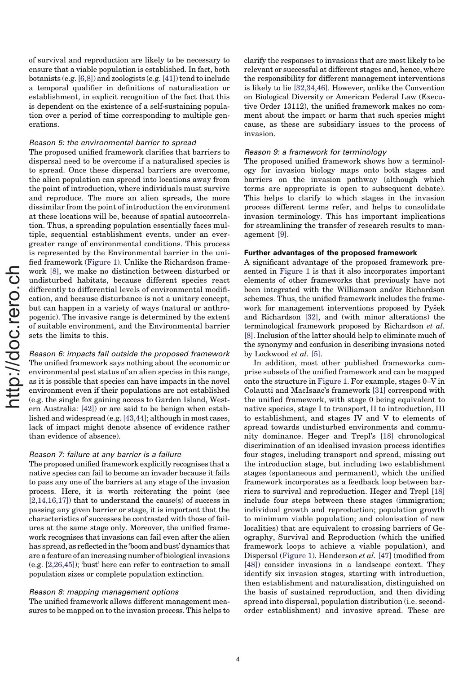of survival and reproduction are likely to be necessary to ensure that a viable population is established. In fact, both botanists (e.g. [6,8]) and zoologists (e.g. [41]) tend to include a temporal qualifier in definitions of naturalisation or establishment, in explicit recognition of the fact that this is dependent on the existence of a self-sustaining population over a period of time corresponding to multiple generations.

#### Reason 5: the environmental barrier to spread

The proposed unified framework clarifies that barriers to dispersal need to be overcome if a naturalised species is to spread. Once these dispersal barriers are overcome, the alien population can spread into locations away from the point of introduction, where individuals must survive and reproduce. The more an alien spreads, the more dissimilar from the point of introduction the environment at these locations will be, because of spatial autocorrelation. Thus, a spreading population essentially faces multiple, sequential establishment events, under an evergreater range of environmental conditions. This process is represented by the Environmental barrier in the unified framework (Figure 1). Unlike the Richardson framework [8], we make no distinction between disturbed or undisturbed habitats, because different species react differently to differential levels of environmental modification, and because disturbance is not a unitary concept, but can happen in a variety of ways (natural or anthropogenic). The invasive range is determined by the extent of suitable environment, and the Environmental barrier sets the limits to this.

Reason 6: impacts fall outside the proposed framework The unified framework says nothing about the economic or environmental pest status of an alien species in this range, as it is possible that species can have impacts in the novel environment even if their populations are not established (e.g. the single fox gaining access to Garden Island, Western Australia: [42]) or are said to be benign when established and widespread (e.g. [43,44]; although in most cases, lack of impact might denote absence of evidence rather than evidence of absence).

#### Reason 7: failure at any barrier is a failure

The proposed unified framework explicitly recognises that a native species can fail to become an invader because it fails to pass any one of the barriers at any stage of the invasion process. Here, it is worth reiterating the point (see  $[2,14,16,17]$  that to understand the cause(s) of success in passing any given barrier or stage, it is important that the characteristics of successes be contrasted with those of failures at the same stage only. Moreover, the unified framework recognises that invasions can fail even after the alien has spread, as reflected in the 'boom and bust' dynamics that are a feature of an increasing number of biological invasions (e.g. [2,26,45]); 'bust' here can refer to contraction to small population sizes or complete population extinction.

# Reason 8: mapping management options

The unified framework allows different management measures to be mapped on to the invasion process. This helps to clarify the responses to invasions that are most likely to be relevant or successful at different stages and, hence, where the responsibility for different management interventions is likely to lie [32,34,46]. However, unlike the Convention on Biological Diversity or American Federal Law (Executive Order 13112), the unified framework makes no comment about the impact or harm that such species might cause, as these are subsidiary issues to the process of invasion.

## Reason 9: a framework for terminology

The proposed unified framework shows how a terminology for invasion biology maps onto both stages and barriers on the invasion pathway (although which terms are appropriate is open to subsequent debate). This helps to clarify to which stages in the invasion process different terms refer, and helps to consolidate invasion terminology. This has important implications for streamlining the transfer of research results to management [9].

# Further advantages of the proposed framework

A significant advantage of the proposed framework presented in Figure 1 is that it also incorporates important elements of other frameworks that previously have not been integrated with the Williamson and/or Richardson schemes. Thus, the unified framework includes the framework for management interventions proposed by Pysek and Richardson [32], and (with minor alterations) the terminological framework proposed by Richardson et al. [8]. Inclusion of the latter should help to eliminate much of the synonymy and confusion in describing invasions noted by Lockwood et al. [5].

In addition, most other published frameworks comprise subsets of the unified framework and can be mapped onto the structure in Figure 1. For example, stages 0–V in Colautti and MacIsaac's framework [31] correspond with the unified framework, with stage 0 being equivalent to native species, stage I to transport, II to introduction, III to establishment, and stages IV and V to elements of spread towards undisturbed environments and community dominance. Heger and Trepl's [18] chronological discrimination of an idealised invasion process identifies four stages, including transport and spread, missing out the introduction stage, but including two establishment stages (spontaneous and permanent), which the unified framework incorporates as a feedback loop between barriers to survival and reproduction. Heger and Trepl [18] include four steps between these stages (immigration; individual growth and reproduction; population growth to minimum viable population; and colonisation of new localities) that are equivalent to crossing barriers of Geography, Survival and Reproduction (which the unified framework loops to achieve a viable population), and Dispersal (Figure 1). Henderson et al. [47] (modified from [48]) consider invasions in a landscape context. They identify six invasion stages, starting with introduction, then establishment and naturalisation, distinguished on the basis of sustained reproduction, and then dividing spread into dispersal, population distribution (i.e. secondorder establishment) and invasive spread. These are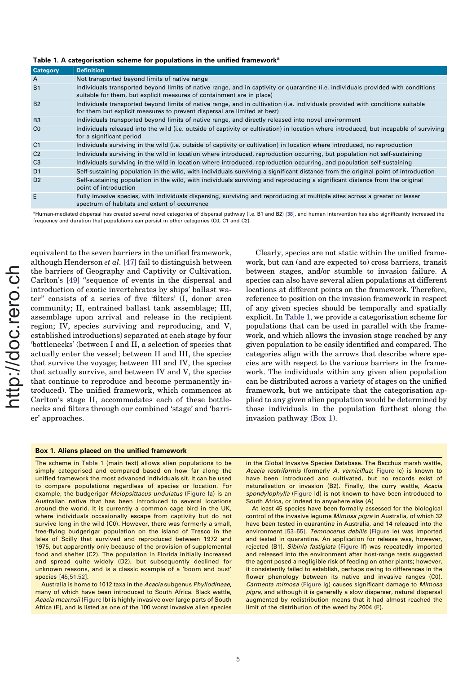Table 1. A categorisation scheme for populations in the unified framework<sup>a</sup>

| <b>Category</b> | <b>Definition</b>                                                                                                                                                                                         |
|-----------------|-----------------------------------------------------------------------------------------------------------------------------------------------------------------------------------------------------------|
| A               | Not transported beyond limits of native range                                                                                                                                                             |
| <b>B1</b>       | Individuals transported beyond limits of native range, and in captivity or quarantine (i.e. individuals provided with conditions<br>suitable for them, but explicit measures of containment are in place) |
| <b>B2</b>       | Individuals transported beyond limits of native range, and in cultivation (i.e. individuals provided with conditions suitable<br>for them but explicit measures to prevent dispersal are limited at best) |
| B <sub>3</sub>  | Individuals transported beyond limits of native range, and directly released into novel environment                                                                                                       |
| C <sub>0</sub>  | Individuals released into the wild (i.e. outside of captivity or cultivation) in location where introduced, but incapable of surviving<br>for a significant period                                        |
| C <sub>1</sub>  | Individuals surviving in the wild (i.e. outside of captivity or cultivation) in location where introduced, no reproduction                                                                                |
| C <sub>2</sub>  | Individuals surviving in the wild in location where introduced, reproduction occurring, but population not self-sustaining                                                                                |
| C <sub>3</sub>  | Individuals surviving in the wild in location where introduced, reproduction occurring, and population self-sustaining                                                                                    |
| D <sub>1</sub>  | Self-sustaining population in the wild, with individuals surviving a significant distance from the original point of introduction                                                                         |
| D <sub>2</sub>  | Self-sustaining population in the wild, with individuals surviving and reproducing a significant distance from the original<br>point of introduction                                                      |
| E               | Fully invasive species, with individuals dispersing, surviving and reproducing at multiple sites across a greater or lesser<br>spectrum of habitats and extent of occurrence                              |

<sup>a</sup>Human-mediated dispersal has created several novel categories of dispersal pathway (i.e. B1 and B2) [38], and human intervention has also significantly increased the frequency and duration that populations can persist in other categories (C0, C1 and C2).

equivalent to the seven barriers in the unified framework, although Henderson et al. [47] fail to distinguish between the barriers of Geography and Captivity or Cultivation. Carlton's [49] ''sequence of events in the dispersal and introduction of exotic invertebrates by ships' ballast water'' consists of a series of five 'filters' (I, donor area community; II, entrained ballast tank assemblage; III, assemblage upon arrival and release in the recipient region; IV, species surviving and reproducing, and V, established introductions) separated at each stage by four 'bottlenecks' (between I and II, a selection of species that actually enter the vessel; between II and III, the species that survive the voyage; between III and IV, the species that actually survive, and between IV and V, the species that continue to reproduce and become permanently introduced). The unified framework, which commences at Carlton's stage II, accommodates each of these bottlenecks and filters through our combined 'stage' and 'barrier' approaches.

Clearly, species are not static within the unified framework, but can (and are expected to) cross barriers, transit between stages, and/or stumble to invasion failure. A species can also have several alien populations at different locations at different points on the framework. Therefore, reference to position on the invasion framework in respect of any given species should be temporally and spatially explicit. In Table 1, we provide a categorisation scheme for populations that can be used in parallel with the framework, and which allows the invasion stage reached by any given population to be easily identified and compared. The categories align with the arrows that describe where species are with respect to the various barriers in the framework. The individuals within any given alien population can be distributed across a variety of stages on the unified framework, but we anticipate that the categorisation applied to any given alien population would be determined by those individuals in the population furthest along the invasion pathway (Box 1).

#### Box 1. Aliens placed on the unified framework

The scheme in Table 1 (main text) allows alien populations to be simply categorised and compared based on how far along the unified framework the most advanced individuals sit. It can be used to compare populations regardless of species or location. For example, the budgerigar Melopsittacus undulatus (Figure la) is an Australian native that has been introduced to several locations around the world. It is currently a common cage bird in the UK, where individuals occasionally escape from captivity but do not survive long in the wild (C0). However, there was formerly a small, free-flying budgerigar population on the island of Tresco in the Isles of Scilly that survived and reproduced between 1972 and 1975, but apparently only because of the provision of supplemental food and shelter (C2). The population in Florida initially increased and spread quite widely (D2), but subsequently declined for unknown reasons, and is a classic example of a 'boom and bust' species [45,51,52].

Australia is home to 1012 taxa in the Acacia subgenus Phyllodineae, many of which have been introduced to South Africa. Black wattle, Acacia mearnsii (Figure Ib) is highly invasive over large parts of South Africa (E), and is listed as one of the 100 worst invasive alien species in the Global Invasive Species Database. The Bacchus marsh wattle, Acacia rostriformis (formerly A. verniciflua: Figure Ic) is known to have been introduced and cultivated, but no records exist of naturalisation or invasion (B2). Finally, the curry wattle, Acacia spondylophylla (Figure Id) is not known to have been introduced to South Africa, or indeed to anywhere else (A)

At least 45 species have been formally assessed for the biological control of the invasive legume Mimosa pigra in Australia, of which 32 have been tested in quarantine in Australia, and 14 released into the environment [53–55]. Temnocerus debilis (Figure Ie) was imported and tested in quarantine. An application for release was, however, rejected (B1). Sibinia fastigiata (Figure If) was repeatedly imported and released into the environment after host-range tests suggested the agent posed a negligible risk of feeding on other plants; however, it consistently failed to establish, perhaps owing to differences in the flower phenology between its native and invasive ranges (C0). Carmenta mimosa (Figure Ig) causes significant damage to Mimosa pigra, and although it is generally a slow disperser, natural dispersal augmented by redistribution means that it had almost reached the limit of the distribution of the weed by 2004 (E).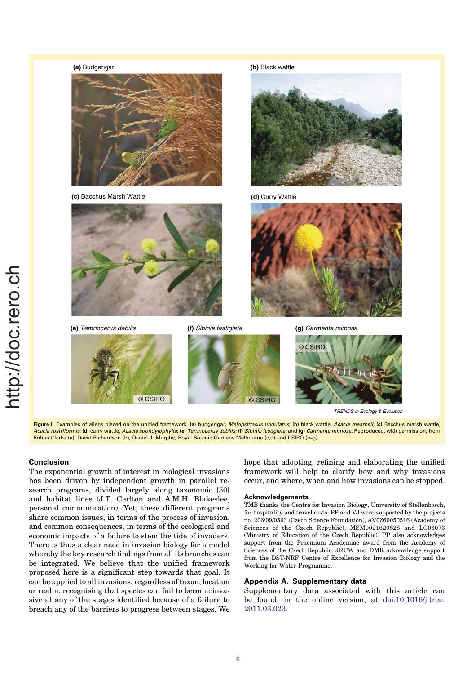

# Conclusion

The exponential growth of interest in biological invasions has been driven by independent growth in parallel research programs, divided largely along taxonomic [50] and habitat lines (J.T. Carlton and A.M.H. Blakeslee, personal communication). Yet, these different programs share common issues, in terms of the process of invasion, and common consequences, in terms of the ecological and economic impacts of a failure to stem the tide of invaders. There is thus a clear need in invasion biology for a model whereby the key research findings from all its branches can be integrated. We believe that the unified framework proposed here is a significant step towards that goal. It can be applied to all invasions, regardless of taxon, location or realm, recognising that species can fail to become invasive at any of the stages identified because of a failure to breach any of the barriers to progress between stages. We

hope that adopting, refining and elaborating the unified framework will help to clarify how and why invasions occur, and where, when and how invasions can be stopped.

#### **Acknowledgements**

TMB thanks the Centre for Invasion Biology, University of Stellenbosch, for hospitality and travel costs. PP and VJ were supported by the projects no. 206/09/0563 (Czech Science Foundation), AV0Z60050516 (Academy of Sciences of the Czech Republic), MSM0021620828 and LC06073 (Ministry of Education of the Czech Republic). PP also acknowledges support from the Praemium Academiae award from the Academy of Sciences of the Czech Republic. JRUW and DMR acknowledge support from the DST-NRF Centre of Excellence for Invasion Biology and the Working for Water Programme.

# Appendix A. Supplementary data

Supplementary data associated with this article can be found, in the online version, at doi:10.1016/j.tree. 2011.03.023.